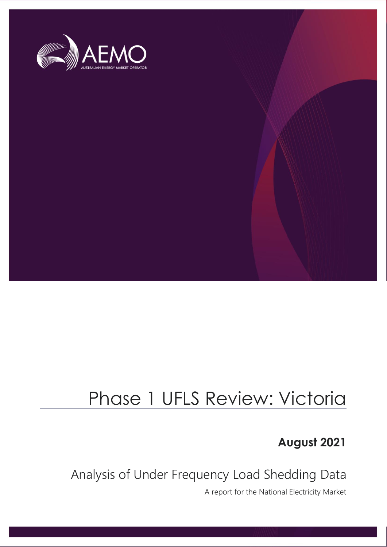

# Phase 1 UFLS Review: Victoria

**August 2021**

Analysis of Under Frequency Load Shedding Data

A report for the National Electricity Market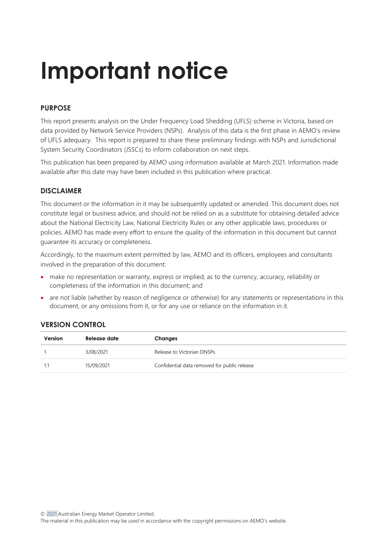# **Important notice**

#### **PURPOSE**

This report presents analysis on the Under Frequency Load Shedding (UFLS) scheme in Victoria, based on data provided by Network Service Providers (NSPs). Analysis of this data is the first phase in AEMO's review of UFLS adequacy. This report is prepared to share these preliminary findings with NSPs and Jurisdictional System Security Coordinators (JSSCs) to inform collaboration on next steps.

This publication has been prepared by AEMO using information available at March 2021. Information made available after this date may have been included in this publication where practical.

#### **DISCLAIMER**

This document or the information in it may be subsequently updated or amended. This document does not constitute legal or business advice, and should not be relied on as a substitute for obtaining detailed advice about the National Electricity Law, National Electricity Rules or any other applicable laws, procedures or policies. AEMO has made every effort to ensure the quality of the information in this document but cannot guarantee its accuracy or completeness.

Accordingly, to the maximum extent permitted by law, AEMO and its officers, employees and consultants involved in the preparation of this document:

- make no representation or warranty, express or implied, as to the currency, accuracy, reliability or completeness of the information in this document; and
- are not liable (whether by reason of negligence or otherwise) for any statements or representations in this document, or any omissions from it, or for any use or reliance on the information in it.

#### **VERSION CONTROL**

| Version | Release date | Changes                                      |
|---------|--------------|----------------------------------------------|
|         | 3/08/2021    | Release to Victorian DNSPs                   |
|         | 15/09/2021   | Confidential data removed for public release |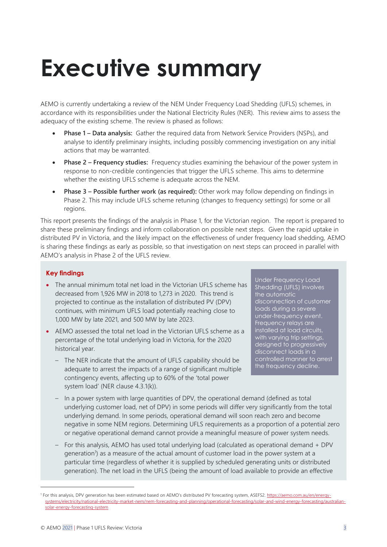# <span id="page-2-0"></span>**Executive summary**

AEMO is currently undertaking a review of the NEM Under Frequency Load Shedding (UFLS) schemes, in accordance with its responsibilities under the National Electricity Rules (NER). This review aims to assess the adequacy of the existing scheme. The review is phased as follows:

- **Phase 1 – Data analysis:** Gather the required data from Network Service Providers (NSPs), and analyse to identify preliminary insights, including possibly commencing investigation on any initial actions that may be warranted.
- **Phase 2 – Frequency studies:** Frequency studies examining the behaviour of the power system in response to non-credible contingencies that trigger the UFLS scheme. This aims to determine whether the existing UFLS scheme is adequate across the NEM.
- **Phase 3 – Possible further work (as required):** Other work may follow depending on findings in Phase 2. This may include UFLS scheme retuning (changes to frequency settings) for some or all regions.

This report presents the findings of the analysis in Phase 1, for the Victorian region. The report is prepared to share these preliminary findings and inform collaboration on possible next steps. Given the rapid uptake in distributed PV in Victoria, and the likely impact on the effectiveness of under frequency load shedding, AEMO is sharing these findings as early as possible, so that investigation on next steps can proceed in parallel with AEMO's analysis in Phase 2 of the UFLS review.

#### **Key findings**

- The annual minimum total net load in the Victorian UFLS scheme has decreased from 1,926 MW in 2018 to 1,273 in 2020. This trend is projected to continue as the installation of distributed PV (DPV) continues, with minimum UFLS load potentially reaching close to 1,000 MW by late 2021, and 500 MW by late 2023.
- AEMO assessed the total net load in the Victorian UFLS scheme as a percentage of the total underlying load in Victoria, for the 2020 historical year.
	- The NER indicate that the amount of UFLS capability should be adequate to arrest the impacts of a range of significant multiple contingency events, affecting up to 60% of the 'total power system load' (NER clause 4.3.1(k)).

Under Frequency Load Shedding (UFLS) involves the automatic disconnection of customer loads during a severe under-frequency event. Frequency relays are installed at load circuits, with varying trip settings, designed to progressively disconnect loads in a controlled manner to arrest the frequency decline.

- In a power system with large quantities of DPV, the operational demand (defined as total underlying customer load, net of DPV) in some periods will differ very significantly from the total underlying demand. In some periods, operational demand will soon reach zero and become negative in some NEM regions. Determining UFLS requirements as a proportion of a potential zero or negative operational demand cannot provide a meaningful measure of power system needs.
- For this analysis, AEMO has used total underlying load (calculated as operational demand + DPV generation<sup>1</sup>) as a measure of the actual amount of customer load in the power system at a particular time (regardless of whether it is supplied by scheduled generating units or distributed generation). The net load in the UFLS (being the amount of load available to provide an effective

<sup>&</sup>lt;sup>1</sup> For this analysis, DPV generation has been estimated based on AEMO's distributed PV forecasting system, ASEFS2. [https://aemo.com.au/en/energy](https://aemo.com.au/en/energy-systems/electricity/national-electricity-market-nem/nem-forecasting-and-planning/operational-forecasting/solar-and-wind-energy-forecasting/australian-solar-energy-forecasting-system)[systems/electricity/national-electricity-market-nem/nem-forecasting-and-planning/operational-forecasting/solar-and-wind-energy-forecasting/australian](https://aemo.com.au/en/energy-systems/electricity/national-electricity-market-nem/nem-forecasting-and-planning/operational-forecasting/solar-and-wind-energy-forecasting/australian-solar-energy-forecasting-system)[solar-energy-forecasting-system](https://aemo.com.au/en/energy-systems/electricity/national-electricity-market-nem/nem-forecasting-and-planning/operational-forecasting/solar-and-wind-energy-forecasting/australian-solar-energy-forecasting-system)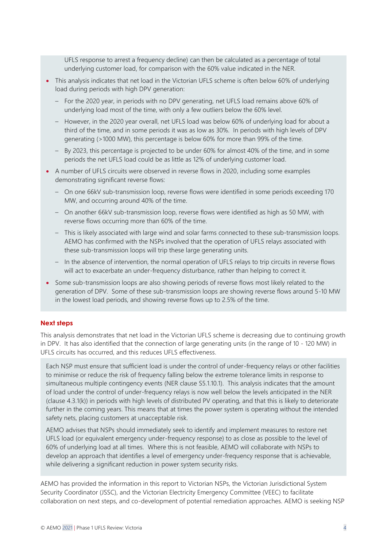UFLS response to arrest a frequency decline) can then be calculated as a percentage of total underlying customer load, for comparison with the 60% value indicated in the NER.

- This analysis indicates that net load in the Victorian UFLS scheme is often below 60% of underlying load during periods with high DPV generation:
	- For the 2020 year, in periods with no DPV generating, net UFLS load remains above 60% of underlying load most of the time, with only a few outliers below the 60% level.
	- However, in the 2020 year overall, net UFLS load was below 60% of underlying load for about a third of the time, and in some periods it was as low as 30%. In periods with high levels of DPV generating (>1000 MW), this percentage is below 60% for more than 99% of the time.
	- By 2023, this percentage is projected to be under 60% for almost 40% of the time, and in some periods the net UFLS load could be as little as 12% of underlying customer load.
- A number of UFLS circuits were observed in reverse flows in 2020, including some examples demonstrating significant reverse flows:
	- On one 66kV sub-transmission loop, reverse flows were identified in some periods exceeding 170 MW, and occurring around 40% of the time.
	- On another 66kV sub-transmission loop, reverse flows were identified as high as 50 MW, with reverse flows occurring more than 60% of the time.
	- This is likely associated with large wind and solar farms connected to these sub-transmission loops. AEMO has confirmed with the NSPs involved that the operation of UFLS relays associated with these sub-transmission loops will trip these large generating units.
	- In the absence of intervention, the normal operation of UFLS relays to trip circuits in reverse flows will act to exacerbate an under-frequency disturbance, rather than helping to correct it.
- Some sub-transmission loops are also showing periods of reverse flows most likely related to the generation of DPV. Some of these sub-transmission loops are showing reverse flows around 5-10 MW in the lowest load periods, and showing reverse flows up to 2.5% of the time.

#### **Next steps**

This analysis demonstrates that net load in the Victorian UFLS scheme is decreasing due to continuing growth in DPV. It has also identified that the connection of large generating units (in the range of 10 - 120 MW) in UFLS circuits has occurred, and this reduces UFLS effectiveness.

Each NSP must ensure that sufficient load is under the control of under-frequency relays or other facilities to minimise or reduce the risk of frequency falling below the extreme tolerance limits in response to simultaneous multiple contingency events (NER clause S5.1.10.1). This analysis indicates that the amount of load under the control of under-frequency relays is now well below the levels anticipated in the NER (clause 4.3.1(k)) in periods with high levels of distributed PV operating, and that this is likely to deteriorate further in the coming years. This means that at times the power system is operating without the intended safety nets, placing customers at unacceptable risk.

AEMO advises that NSPs should immediately seek to identify and implement measures to restore net UFLS load (or equivalent emergency under-frequency response) to as close as possible to the level of 60% of underlying load at all times. Where this is not feasible, AEMO will collaborate with NSPs to develop an approach that identifies a level of emergency under-frequency response that is achievable, while delivering a significant reduction in power system security risks.

AEMO has provided the information in this report to Victorian NSPs, the Victorian Jurisdictional System Security Coordinator (JSSC), and the Victorian Electricity Emergency Committee (VEEC) to facilitate collaboration on next steps, and co-development of potential remediation approaches. AEMO is seeking NSP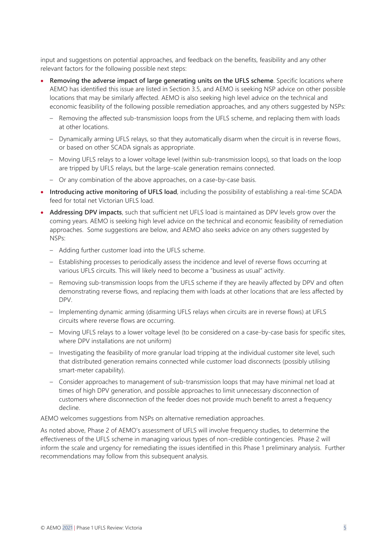input and suggestions on potential approaches, and feedback on the benefits, feasibility and any other relevant factors for the following possible next steps:

- **Removing the adverse impact of large generating units on the UFLS scheme**. Specific locations where AEMO has identified this issue are listed in Section [3.5,](#page-22-0) and AEMO is seeking NSP advice on other possible locations that may be similarly affected. AEMO is also seeking high level advice on the technical and economic feasibility of the following possible remediation approaches, and any others suggested by NSPs:
	- Removing the affected sub-transmission loops from the UFLS scheme, and replacing them with loads at other locations.
	- Dynamically arming UFLS relays, so that they automatically disarm when the circuit is in reverse flows, or based on other SCADA signals as appropriate.
	- Moving UFLS relays to a lower voltage level (within sub-transmission loops), so that loads on the loop are tripped by UFLS relays, but the large-scale generation remains connected.
	- Or any combination of the above approaches, on a case-by-case basis.
- **Introducing active monitoring of UFLS load**, including the possibility of establishing a real-time SCADA feed for total net Victorian UFLS load.
- **Addressing DPV impacts**, such that sufficient net UFLS load is maintained as DPV levels grow over the coming years. AEMO is seeking high level advice on the technical and economic feasibility of remediation approaches. Some suggestions are below, and AEMO also seeks advice on any others suggested by NSPs:
	- Adding further customer load into the UFLS scheme.
	- Establishing processes to periodically assess the incidence and level of reverse flows occurring at various UFLS circuits. This will likely need to become a "business as usual" activity.
	- Removing sub-transmission loops from the UFLS scheme if they are heavily affected by DPV and often demonstrating reverse flows, and replacing them with loads at other locations that are less affected by DPV.
	- Implementing dynamic arming (disarming UFLS relays when circuits are in reverse flows) at UFLS circuits where reverse flows are occurring.
	- Moving UFLS relays to a lower voltage level (to be considered on a case-by-case basis for specific sites, where DPV installations are not uniform)
	- Investigating the feasibility of more granular load tripping at the individual customer site level, such that distributed generation remains connected while customer load disconnects (possibly utilising smart-meter capability).
	- Consider approaches to management of sub-transmission loops that may have minimal net load at times of high DPV generation, and possible approaches to limit unnecessary disconnection of customers where disconnection of the feeder does not provide much benefit to arrest a frequency decline.

AEMO welcomes suggestions from NSPs on alternative remediation approaches.

As noted above, Phase 2 of AEMO's assessment of UFLS will involve frequency studies, to determine the effectiveness of the UFLS scheme in managing various types of non-credible contingencies. Phase 2 will inform the scale and urgency for remediating the issues identified in this Phase 1 preliminary analysis. Further recommendations may follow from this subsequent analysis.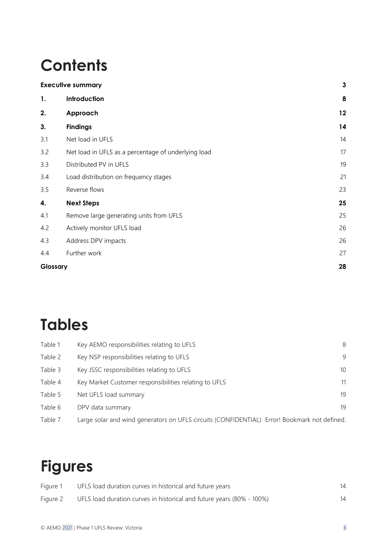# **Contents**

|          | <b>Executive summary</b>                            | 3  |
|----------|-----------------------------------------------------|----|
| 1.       | Introduction                                        | 8  |
| 2.       | Approach                                            | 12 |
| 3.       | <b>Findings</b>                                     | 14 |
| 3.1      | Net load in UFLS                                    | 14 |
| 3.2      | Net load in UFLS as a percentage of underlying load | 17 |
| 3.3      | Distributed PV in UFLS                              | 19 |
| 3.4      | Load distribution on frequency stages               | 21 |
| 3.5      | Reverse flows                                       | 23 |
| 4.       | <b>Next Steps</b>                                   | 25 |
| 4.1      | Remove large generating units from UFLS             | 25 |
| 4.2      | Actively monitor UFLS load                          | 26 |
| 4.3      | Address DPV impacts                                 | 26 |
| 4.4      | Further work                                        | 27 |
| Glossary |                                                     | 28 |

## **Tables**

| Table 1 | Key AEMO responsibilities relating to UFLS                                                   | 8               |
|---------|----------------------------------------------------------------------------------------------|-----------------|
| Table 2 | Key NSP responsibilities relating to UFLS                                                    | 9               |
| Table 3 | Key JSSC responsibilities relating to UFLS                                                   | 10 <sup>°</sup> |
| Table 4 | Key Market Customer responsibilities relating to UFLS                                        | 11              |
| Table 5 | Net UFLS load summary                                                                        | 19              |
| Table 6 | DPV data summary                                                                             | 19              |
| Table 7 | Large solar and wind generators on UFLS circuits (CONFIDENTIAL) Error! Bookmark not defined. |                 |

## **Figures**

| Figure 1 | UFLS load duration curves in historical and future years              |  |
|----------|-----------------------------------------------------------------------|--|
| Figure 2 | UFLS load duration curves in historical and future years (80% - 100%) |  |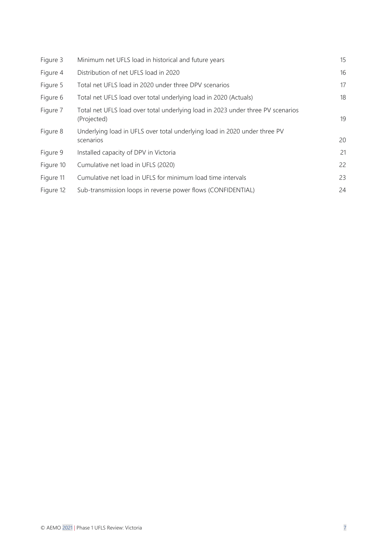| Figure 3  | Minimum net UFLS load in historical and future years                                           | 15 |
|-----------|------------------------------------------------------------------------------------------------|----|
| Figure 4  | Distribution of net UFLS load in 2020                                                          | 16 |
| Figure 5  | Total net UFLS load in 2020 under three DPV scenarios                                          | 17 |
| Figure 6  | Total net UFLS load over total underlying load in 2020 (Actuals)                               | 18 |
| Figure 7  | Total net UFLS load over total underlying load in 2023 under three PV scenarios<br>(Projected) | 19 |
| Figure 8  | Underlying load in UFLS over total underlying load in 2020 under three PV<br>scenarios         | 20 |
| Figure 9  | Installed capacity of DPV in Victoria                                                          | 21 |
| Figure 10 | Cumulative net load in UFLS (2020)                                                             | 22 |
| Figure 11 | Cumulative net load in UFLS for minimum load time intervals                                    | 23 |
| Figure 12 | Sub-transmission loops in reverse power flows (CONFIDENTIAL)                                   | 24 |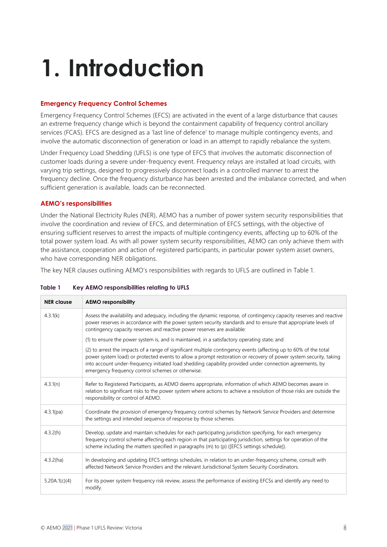# <span id="page-7-0"></span>**1. Introduction**

#### **Emergency Frequency Control Schemes**

Emergency Frequency Control Schemes (EFCS) are activated in the event of a large disturbance that causes an extreme frequency change which is beyond the containment capability of frequency control ancillary services (FCAS). EFCS are designed as a 'last line of defence' to manage multiple contingency events, and involve the automatic disconnection of generation or load in an attempt to rapidly rebalance the system.

Under Frequency Load Shedding (UFLS) is one type of EFCS that involves the automatic disconnection of customer loads during a severe under-frequency event. Frequency relays are installed at load circuits, with varying trip settings, designed to progressively disconnect loads in a controlled manner to arrest the frequency decline. Once the frequency disturbance has been arrested and the imbalance corrected, and when sufficient generation is available, loads can be reconnected.

#### **AEMO's responsibilities**

Under the National Electricity Rules (NER), AEMO has a number of power system security responsibilities that involve the coordination and review of EFCS, and determination of EFCS settings, with the objective of ensuring sufficient reserves to arrest the impacts of multiple contingency events, affecting up to 60% of the total power system load. As with all power system security responsibilities, AEMO can only achieve them with the assistance, cooperation and action of registered participants, in particular power system asset owners, who have corresponding NER obligations.

The key NER clauses outlining AEMO's responsibilities with regards to UFLS are outlined in [Table 1.](#page-7-1)

| <b>NER clause</b> | <b>AEMO responsibility</b>                                                                                                                                                                                                                                                                                                                                                                              |
|-------------------|---------------------------------------------------------------------------------------------------------------------------------------------------------------------------------------------------------------------------------------------------------------------------------------------------------------------------------------------------------------------------------------------------------|
| 4.3.1(k)          | Assess the availability and adequacy, including the dynamic response, of contingency capacity reserves and reactive<br>power reserves in accordance with the power system security standards and to ensure that appropriate levels of<br>contingency capacity reserves and reactive power reserves are available:                                                                                       |
|                   | (1) to ensure the power system is, and is maintained, in a satisfactory operating state; and                                                                                                                                                                                                                                                                                                            |
|                   | (2) to arrest the impacts of a range of significant multiple contingency events (affecting up to 60% of the total<br>power system load) or protected events to allow a prompt restoration or recovery of power system security, taking<br>into account under-frequency initiated load shedding capability provided under connection agreements, by<br>emergency frequency control schemes or otherwise. |
| 4.3.1(n)          | Refer to Registered Participants, as AEMO deems appropriate, information of which AEMO becomes aware in<br>relation to significant risks to the power system where actions to achieve a resolution of those risks are outside the<br>responsibility or control of AEMO.                                                                                                                                 |
| 4.3.1(pa)         | Coordinate the provision of emergency frequency control schemes by Network Service Providers and determine<br>the settings and intended sequence of response by those schemes.                                                                                                                                                                                                                          |
| 4.3.2(h)          | Develop, update and maintain schedules for each participating jurisdiction specifying, for each emergency<br>frequency control scheme affecting each region in that participating jurisdiction, settings for operation of the<br>scheme including the matters specified in paragraphs (m) to (p) ([EFCS settings schedule]).                                                                            |
| 4.3.2(ha)         | In developing and updating EFCS settings schedules, in relation to an under-frequency scheme, consult with<br>affected Network Service Providers and the relevant Jurisdictional System Security Coordinators.                                                                                                                                                                                          |
| 5.20A.1(c)(4)     | For its power system frequency risk review, assess the performance of existing EFCSs and identify any need to<br>modify.                                                                                                                                                                                                                                                                                |

#### <span id="page-7-1"></span>**Table 1 Key AEMO responsibilities relating to UFLS**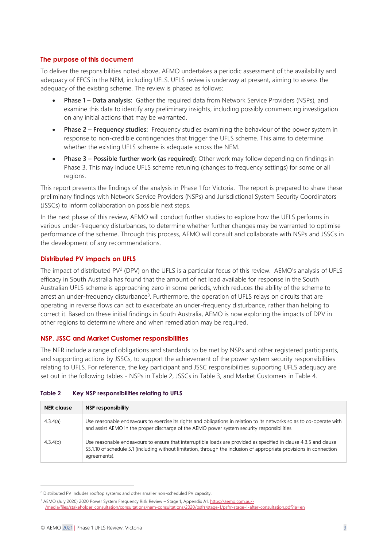#### **The purpose of this document**

To deliver the responsibilities noted above, AEMO undertakes a periodic assessment of the availability and adequacy of EFCS in the NEM, including UFLS. UFLS review is underway at present, aiming to assess the adequacy of the existing scheme. The review is phased as follows:

- **Phase 1 – Data analysis:** Gather the required data from Network Service Providers (NSPs), and examine this data to identify any preliminary insights, including possibly commencing investigation on any initial actions that may be warranted.
- **Phase 2 – Frequency studies:** Frequency studies examining the behaviour of the power system in response to non-credible contingencies that trigger the UFLS scheme. This aims to determine whether the existing UFLS scheme is adequate across the NEM.
- **Phase 3 – Possible further work (as required):** Other work may follow depending on findings in Phase 3. This may include UFLS scheme retuning (changes to frequency settings) for some or all regions.

This report presents the findings of the analysis in Phase 1 for Victoria. The report is prepared to share these preliminary findings with Network Service Providers (NSPs) and Jurisdictional System Security Coordinators (JSSCs) to inform collaboration on possible next steps.

In the next phase of this review, AEMO will conduct further studies to explore how the UFLS performs in various under-frequency disturbances, to determine whether further changes may be warranted to optimise performance of the scheme. Through this process, AEMO will consult and collaborate with NSPs and JSSCs in the development of any recommendations.

#### **Distributed PV impacts on UFLS**

The impact of distributed PV<sup>2</sup> (DPV) on the UFLS is a particular focus of this review. AEMO's analysis of UFLS efficacy in South Australia has found that the amount of net load available for response in the South Australian UFLS scheme is approaching zero in some periods, which reduces the ability of the scheme to arrest an under-frequency disturbance<sup>3</sup>. Furthermore, the operation of UFLS relays on circuits that are operating in reverse flows can act to exacerbate an under-frequency disturbance, rather than helping to correct it. Based on these initial findings in South Australia, AEMO is now exploring the impacts of DPV in other regions to determine where and when remediation may be required.

#### **NSP, JSSC and Market Customer responsibilities**

The NER include a range of obligations and standards to be met by NSPs and other registered participants, and supporting actions by JSSCs, to support the achievement of the power system security responsibilities relating to UFLS. For reference, the key participant and JSSC responsibilities supporting UFLS adequacy are set out in the following tables - NSPs in [Table 2,](#page-8-0) JSSCs in [Table 3,](#page-9-0) and Market Customers in [Table 4.](#page-10-0)

| <b>NER</b> clause | NSP responsibility                                                                                                                                                                                                                                        |
|-------------------|-----------------------------------------------------------------------------------------------------------------------------------------------------------------------------------------------------------------------------------------------------------|
| 4.3.4(a)          | Use reasonable endeavours to exercise its rights and obligations in relation to its networks so as to co-operate with<br>and assist AEMO in the proper discharge of the AEMO power system security responsibilities.                                      |
| 4.3.4(b)          | Use reasonable endeavours to ensure that interruptible loads are provided as specified in clause 4.3.5 and clause<br>S5.1.10 of schedule 5.1 (including without limitation, through the inclusion of appropriate provisions in connection<br>agreements). |

#### <span id="page-8-0"></span>**Table 2 Key NSP responsibilities relating to UFLS**

<sup>&</sup>lt;sup>2</sup> Distributed PV includes rooftop systems and other smaller non-scheduled PV capacity.

<sup>&</sup>lt;sup>3</sup> AEMO (July 2020) 2020 Power System Frequency Risk Review - Stage 1, Appendix A1[, https://aemo.com.au/-](https://aemo.com.au/-/media/files/stakeholder_consultation/consultations/nem-consultations/2020/psfrr/stage-1/psfrr-stage-1-after-consultation.pdf?la=en) [/media/files/stakeholder\\_consultation/consultations/nem-consultations/2020/psfrr/stage-1/psfrr-stage-1-after-consultation.pdf?la=en](https://aemo.com.au/-/media/files/stakeholder_consultation/consultations/nem-consultations/2020/psfrr/stage-1/psfrr-stage-1-after-consultation.pdf?la=en)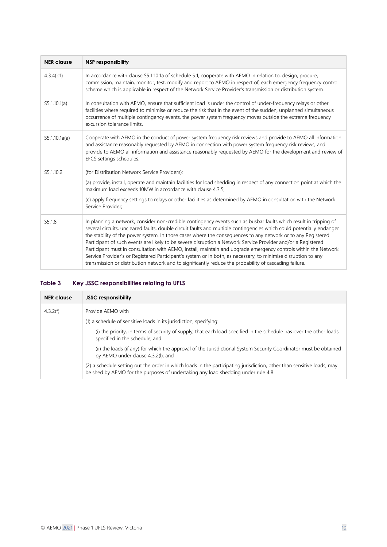| <b>NER clause</b> | <b>NSP responsibility</b>                                                                                                                                                                                                                                                                                                                                                                                                                                                                                                                                                                                                                                                                                                                                                                                                |
|-------------------|--------------------------------------------------------------------------------------------------------------------------------------------------------------------------------------------------------------------------------------------------------------------------------------------------------------------------------------------------------------------------------------------------------------------------------------------------------------------------------------------------------------------------------------------------------------------------------------------------------------------------------------------------------------------------------------------------------------------------------------------------------------------------------------------------------------------------|
| 4.3.4(b1)         | In accordance with clause \$5.1.10.1a of schedule 5.1, cooperate with AEMO in relation to, design, procure,<br>commission, maintain, monitor, test, modify and report to AEMO in respect of, each emergency frequency control<br>scheme which is applicable in respect of the Network Service Provider's transmission or distribution system.                                                                                                                                                                                                                                                                                                                                                                                                                                                                            |
| S5.1.10.1(a)      | In consultation with AEMO, ensure that sufficient load is under the control of under-frequency relays or other<br>facilities where required to minimise or reduce the risk that in the event of the sudden, unplanned simultaneous<br>occurrence of multiple contingency events, the power system frequency moves outside the extreme frequency<br>excursion tolerance limits.                                                                                                                                                                                                                                                                                                                                                                                                                                           |
| S5.1.10.1a(a)     | Cooperate with AEMO in the conduct of power system frequency risk reviews and provide to AEMO all information<br>and assistance reasonably requested by AEMO in connection with power system frequency risk reviews; and<br>provide to AEMO all information and assistance reasonably requested by AEMO for the development and review of<br>EFCS settings schedules.                                                                                                                                                                                                                                                                                                                                                                                                                                                    |
| S5.1.10.2         | (for Distribution Network Service Providers):                                                                                                                                                                                                                                                                                                                                                                                                                                                                                                                                                                                                                                                                                                                                                                            |
|                   | (a) provide, install, operate and maintain facilities for load shedding in respect of any connection point at which the<br>maximum load exceeds 10MW in accordance with clause 4.3.5;                                                                                                                                                                                                                                                                                                                                                                                                                                                                                                                                                                                                                                    |
|                   | (c) apply frequency settings to relays or other facilities as determined by AEMO in consultation with the Network<br>Service Provider;                                                                                                                                                                                                                                                                                                                                                                                                                                                                                                                                                                                                                                                                                   |
| S5.1.8            | In planning a network, consider non-credible contingency events such as busbar faults which result in tripping of<br>several circuits, uncleared faults, double circuit faults and multiple contingencies which could potentially endanger<br>the stability of the power system. In those cases where the consequences to any network or to any Registered<br>Participant of such events are likely to be severe disruption a Network Service Provider and/or a Registered<br>Participant must in consultation with AEMO, install, maintain and upgrade emergency controls within the Network<br>Service Provider's or Registered Participant's system or in both, as necessary, to minimise disruption to any<br>transmission or distribution network and to significantly reduce the probability of cascading failure. |

#### <span id="page-9-0"></span>**Table 3 Key JSSC responsibilities relating to UFLS**

| <b>NER</b> clause | <b>JSSC responsibility</b>                                                                                                                                                                                  |
|-------------------|-------------------------------------------------------------------------------------------------------------------------------------------------------------------------------------------------------------|
| 4.3.2(f)          | Provide AEMO with                                                                                                                                                                                           |
|                   | (1) a schedule of sensitive loads in its jurisdiction, specifying:                                                                                                                                          |
|                   | (i) the priority, in terms of security of supply, that each load specified in the schedule has over the other loads<br>specified in the schedule; and                                                       |
|                   | (ii) the loads (if any) for which the approval of the Jurisdictional System Security Coordinator must be obtained<br>by AEMO under clause 4.3.2(I); and                                                     |
|                   | (2) a schedule setting out the order in which loads in the participating jurisdiction, other than sensitive loads, may<br>be shed by AEMO for the purposes of undertaking any load shedding under rule 4.8. |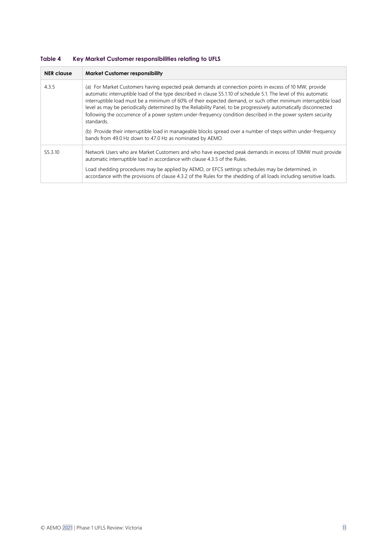<span id="page-10-0"></span>

| Table 4 |  | Key Market Customer responsibilities relating to UFLS |
|---------|--|-------------------------------------------------------|
|         |  |                                                       |

| <b>NER</b> clause   | <b>Market Customer responsibility</b>                                                                                                                                                                                                                                                                                                                                                                                                                                                                                                                                                                                                                                                                                                                                        |
|---------------------|------------------------------------------------------------------------------------------------------------------------------------------------------------------------------------------------------------------------------------------------------------------------------------------------------------------------------------------------------------------------------------------------------------------------------------------------------------------------------------------------------------------------------------------------------------------------------------------------------------------------------------------------------------------------------------------------------------------------------------------------------------------------------|
| 4.3.5               | (a) For Market Customers having expected peak demands at connection points in excess of 10 MW, provide<br>automatic interruptible load of the type described in clause S5.1.10 of schedule 5.1. The level of this automatic<br>interruptible load must be a minimum of 60% of their expected demand, or such other minimum interruptible load<br>level as may be periodically determined by the Reliability Panel, to be progressively automatically disconnected<br>following the occurrence of a power system under-frequency condition described in the power system security<br>standards.<br>(b) Provide their interruptible load in manageable blocks spread over a number of steps within under-frequency<br>bands from 49.0 Hz down to 47.0 Hz as nominated by AEMO. |
| S <sub>5.3.10</sub> | Network Users who are Market Customers and who have expected peak demands in excess of 10MW must provide<br>automatic interruptible load in accordance with clause 4.3.5 of the Rules.                                                                                                                                                                                                                                                                                                                                                                                                                                                                                                                                                                                       |
|                     | Load shedding procedures may be applied by AEMO, or EFCS settings schedules may be determined, in<br>accordance with the provisions of clause 4.3.2 of the Rules for the shedding of all loads including sensitive loads.                                                                                                                                                                                                                                                                                                                                                                                                                                                                                                                                                    |
|                     |                                                                                                                                                                                                                                                                                                                                                                                                                                                                                                                                                                                                                                                                                                                                                                              |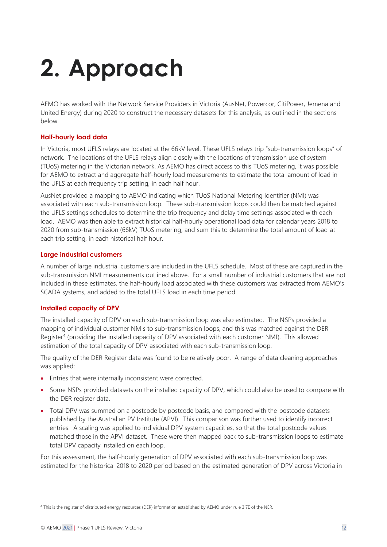# <span id="page-11-0"></span>**2. Approach**

AEMO has worked with the Network Service Providers in Victoria (AusNet, Powercor, CitiPower, Jemena and United Energy) during 2020 to construct the necessary datasets for this analysis, as outlined in the sections below.

#### **Half-hourly load data**

In Victoria, most UFLS relays are located at the 66kV level. These UFLS relays trip "sub-transmission loops" of network. The locations of the UFLS relays align closely with the locations of transmission use of system (TUoS) metering in the Victorian network. As AEMO has direct access to this TUoS metering, it was possible for AEMO to extract and aggregate half-hourly load measurements to estimate the total amount of load in the UFLS at each frequency trip setting, in each half hour.

AusNet provided a mapping to AEMO indicating which TUoS National Metering Identifier (NMI) was associated with each sub-transmission loop. These sub-transmission loops could then be matched against the UFLS settings schedules to determine the trip frequency and delay time settings associated with each load. AEMO was then able to extract historical half-hourly operational load data for calendar years 2018 to 2020 from sub-transmission (66kV) TUoS metering, and sum this to determine the total amount of load at each trip setting, in each historical half hour.

#### **Large industrial customers**

A number of large industrial customers are included in the UFLS schedule. Most of these are captured in the sub-transmission NMI measurements outlined above. For a small number of industrial customers that are not included in these estimates, the half-hourly load associated with these customers was extracted from AEMO's SCADA systems, and added to the total UFLS load in each time period.

#### **Installed capacity of DPV**

The installed capacity of DPV on each sub-transmission loop was also estimated. The NSPs provided a mapping of individual customer NMIs to sub-transmission loops, and this was matched against the DER Register<sup>4</sup> (providing the installed capacity of DPV associated with each customer NMI). This allowed estimation of the total capacity of DPV associated with each sub-transmission loop.

The quality of the DER Register data was found to be relatively poor. A range of data cleaning approaches was applied:

- Entries that were internally inconsistent were corrected.
- Some NSPs provided datasets on the installed capacity of DPV, which could also be used to compare with the DER register data.
- Total DPV was summed on a postcode by postcode basis, and compared with the postcode datasets published by the Australian PV Institute (APVI). This comparison was further used to identify incorrect entries. A scaling was applied to individual DPV system capacities, so that the total postcode values matched those in the APVI dataset. These were then mapped back to sub-transmission loops to estimate total DPV capacity installed on each loop.

For this assessment, the half-hourly generation of DPV associated with each sub-transmission loop was estimated for the historical 2018 to 2020 period based on the estimated generation of DPV across Victoria in

<sup>4</sup> This is the register of distributed energy resources (DER) information established by AEMO under rule 3.7E of the NER.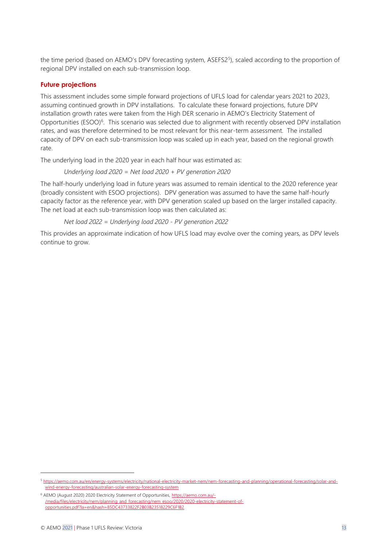the time period (based on AEMO's DPV forecasting system, ASEFS2<sup>5</sup>), scaled according to the proportion of regional DPV installed on each sub-transmission loop.

#### **Future projections**

This assessment includes some simple forward projections of UFLS load for calendar years 2021 to 2023, assuming continued growth in DPV installations. To calculate these forward projections, future DPV installation growth rates were taken from the High DER scenario in AEMO's Electricity Statement of Opportunities (ESOO)<sup>6</sup>. This scenario was selected due to alignment with recently observed DPV installation rates, and was therefore determined to be most relevant for this near-term assessment. The installed capacity of DPV on each sub-transmission loop was scaled up in each year, based on the regional growth rate.

The underlying load in the 2020 year in each half hour was estimated as:

*Underlying load 2020 = Net load 2020 + PV generation 2020*

The half-hourly underlying load in future years was assumed to remain identical to the 2020 reference year (broadly consistent with ESOO projections). DPV generation was assumed to have the same half-hourly capacity factor as the reference year, with DPV generation scaled up based on the larger installed capacity. The net load at each sub-transmission loop was then calculated as:

*Net load 2022 = Underlying load 2020 - PV generation 2022*

This provides an approximate indication of how UFLS load may evolve over the coming years, as DPV levels continue to grow.

<sup>5</sup> [https://aemo.com.au/en/energy-systems/electricity/national-electricity-market-nem/nem-forecasting-and-planning/operational-forecasting/solar-and](https://aemo.com.au/en/energy-systems/electricity/national-electricity-market-nem/nem-forecasting-and-planning/operational-forecasting/solar-and-wind-energy-forecasting/australian-solar-energy-forecasting-system)[wind-energy-forecasting/australian-solar-energy-forecasting-system](https://aemo.com.au/en/energy-systems/electricity/national-electricity-market-nem/nem-forecasting-and-planning/operational-forecasting/solar-and-wind-energy-forecasting/australian-solar-energy-forecasting-system)

<sup>&</sup>lt;sup>6</sup> AEMO (August 2020) 2020 Electricity Statement of Opportunities[, https://aemo.com.au/-](https://aemo.com.au/-/media/files/electricity/nem/planning_and_forecasting/nem_esoo/2020/2020-electricity-statement-of-opportunities.pdf?la=en&hash=85DC43733822F2B03B23518229C6F1B2) [/media/files/electricity/nem/planning\\_and\\_forecasting/nem\\_esoo/2020/2020-electricity-statement-of](https://aemo.com.au/-/media/files/electricity/nem/planning_and_forecasting/nem_esoo/2020/2020-electricity-statement-of-opportunities.pdf?la=en&hash=85DC43733822F2B03B23518229C6F1B2)[opportunities.pdf?la=en&hash=85DC43733822F2B03B23518229C6F1B2](https://aemo.com.au/-/media/files/electricity/nem/planning_and_forecasting/nem_esoo/2020/2020-electricity-statement-of-opportunities.pdf?la=en&hash=85DC43733822F2B03B23518229C6F1B2)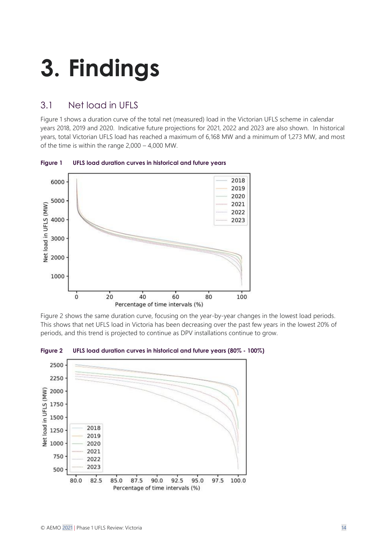# <span id="page-13-0"></span>**3. Findings**

## <span id="page-13-1"></span>3.1 Net load in UFLS

[Figure 1](#page-13-2) shows a duration curve of the total net (measured) load in the Victorian UFLS scheme in calendar years 2018, 2019 and 2020. Indicative future projections for 2021, 2022 and 2023 are also shown. In historical years, total Victorian UFLS load has reached a maximum of 6,168 MW and a minimum of 1,273 MW, and most of the time is within the range 2,000 – 4,000 MW.



<span id="page-13-2"></span>**Figure 1 UFLS load duration curves in historical and future years**

[Figure 2](#page-13-3) shows the same duration curve, focusing on the year-by-year changes in the lowest load periods. This shows that net UFLS load in Victoria has been decreasing over the past few years in the lowest 20% of periods, and this trend is projected to continue as DPV installations continue to grow.



<span id="page-13-3"></span>**Figure 2 UFLS load duration curves in historical and future years (80% - 100%)**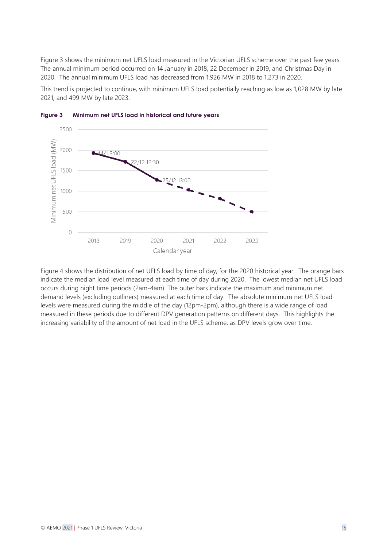[Figure 3](#page-14-0) shows the minimum net UFLS load measured in the Victorian UFLS scheme over the past few years. The annual minimum period occurred on 14 January in 2018, 22 December in 2019, and Christmas Day in 2020. The annual minimum UFLS load has decreased from 1,926 MW in 2018 to 1,273 in 2020.

This trend is projected to continue, with minimum UFLS load potentially reaching as low as 1,028 MW by late 2021, and 499 MW by late 2023.



<span id="page-14-0"></span>

[Figure 4](#page-15-0) shows the distribution of net UFLS load by time of day, for the 2020 historical year. The orange bars indicate the median load level measured at each time of day during 2020. The lowest median net UFLS load occurs during night time periods (2am-4am). The outer bars indicate the maximum and minimum net demand levels (excluding outliners) measured at each time of day. The absolute minimum net UFLS load levels were measured during the middle of the day (12pm-2pm), although there is a wide range of load measured in these periods due to different DPV generation patterns on different days. This highlights the increasing variability of the amount of net load in the UFLS scheme, as DPV levels grow over time.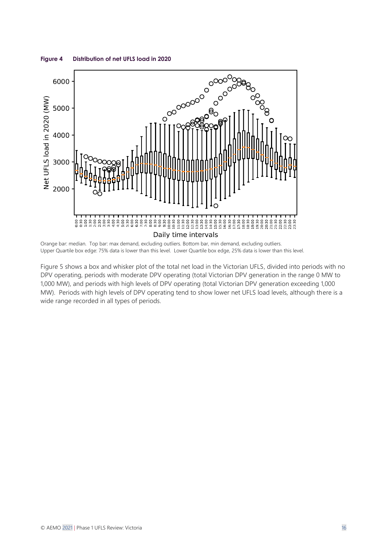

#### <span id="page-15-0"></span>**Figure 4 Distribution of net UFLS load in 2020**

Orange bar: median. Top bar: max demand, excluding outliers. Bottom bar, min demand, excluding outliers. Upper Quartile box edge: 75% data is lower than this level. Lower Quartile box edge, 25% data is lower than this level.

[Figure 5](#page-16-1) shows a box and whisker plot of the total net load in the Victorian UFLS, divided into periods with no DPV operating, periods with moderate DPV operating (total Victorian DPV generation in the range 0 MW to 1,000 MW), and periods with high levels of DPV operating (total Victorian DPV generation exceeding 1,000 MW). Periods with high levels of DPV operating tend to show lower net UFLS load levels, although there is a wide range recorded in all types of periods.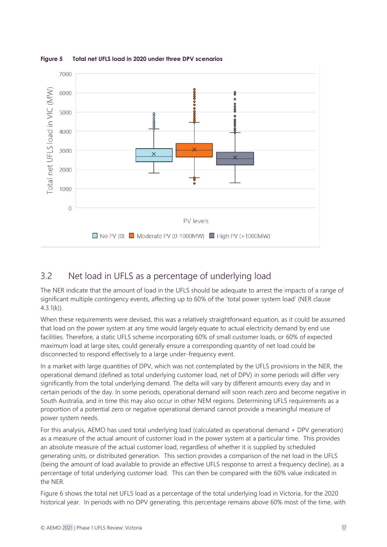

<span id="page-16-1"></span>**Figure 5 Total net UFLS load in 2020 under three DPV scenarios**

### <span id="page-16-0"></span>3.2 Net load in UFLS as a percentage of underlying load

The NER indicate that the amount of load in the UFLS should be adequate to arrest the impacts of a range of significant multiple contingency events, affecting up to 60% of the 'total power system load' (NER clause  $4.3.1(k)$ ).

When these requirements were devised, this was a relatively straightforward equation, as it could be assumed that load on the power system at any time would largely equate to actual electricity demand by end use facilities. Therefore, a static UFLS scheme incorporating 60% of small customer loads, or 60% of expected maximum load at large sites, could generally ensure a corresponding quantity of net load could be disconnected to respond effectively to a large under-frequency event.

In a market with large quantities of DPV, which was not contemplated by the UFLS provisions in the NER, the operational demand (defined as total underlying customer load, net of DPV) in some periods will differ very significantly from the total underlying demand. The delta will vary by different amounts every day and in certain periods of the day. In some periods, operational demand will soon reach zero and become negative in South Australia, and in time this may also occur in other NEM regions. Determining UFLS requirements as a proportion of a potential zero or negative operational demand cannot provide a meaningful measure of power system needs.

For this analysis, AEMO has used total underlying load (calculated as operational demand + DPV generation) as a measure of the actual amount of customer load in the power system at a particular time. This provides an absolute measure of the actual customer load, regardless of whether it is supplied by scheduled generating units, or distributed generation. This section provides a comparison of the net load in the UFLS (being the amount of load available to provide an effective UFLS response to arrest a frequency decline), as a percentage of total underlying customer load. This can then be compared with the 60% value indicated in the NER.

[Figure 6](#page-17-0) shows the total net UFLS load as a percentage of the total underlying load in Victoria, for the 2020 historical year. In periods with no DPV generating, this percentage remains above 60% most of the time, with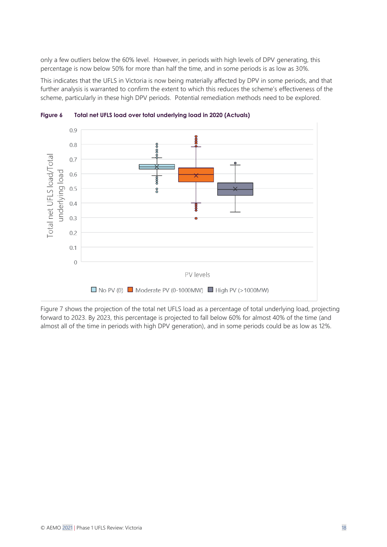only a few outliers below the 60% level. However, in periods with high levels of DPV generating, this percentage is now below 50% for more than half the time, and in some periods is as low as 30%.

This indicates that the UFLS in Victoria is now being materially affected by DPV in some periods, and that further analysis is warranted to confirm the extent to which this reduces the scheme's effectiveness of the scheme, particularly in these high DPV periods. Potential remediation methods need to be explored.



<span id="page-17-0"></span>**Figure 6 Total net UFLS load over total underlying load in 2020 (Actuals)**

[Figure 7](#page-18-3) shows the projection of the total net UFLS load as a percentage of total underlying load, projecting forward to 2023. By 2023, this percentage is projected to fall below 60% for almost 40% of the time (and almost all of the time in periods with high DPV generation), and in some periods could be as low as 12%.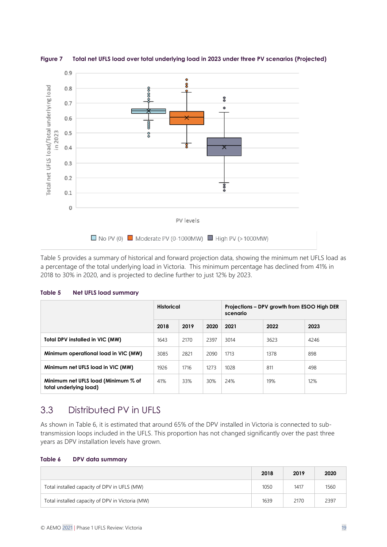

<span id="page-18-3"></span>**Figure 7 Total net UFLS load over total underlying load in 2023 under three PV scenarios (Projected)**

[Table 5](#page-18-1) provides a summary of historical and forward projection data, showing the minimum net UFLS load as a percentage of the total underlying load in Victoria. This minimum percentage has declined from 41% in 2018 to 30% in 2020, and is projected to decline further to just 12% by 2023.

<span id="page-18-1"></span>

| Table 5 |  |  |  | <b>Net UFLS load summary</b> |
|---------|--|--|--|------------------------------|
|---------|--|--|--|------------------------------|

|                                                               | <b>Historical</b> |      |      | Projections – DPV growth from ESOO High DER<br>scenario |      |      |
|---------------------------------------------------------------|-------------------|------|------|---------------------------------------------------------|------|------|
|                                                               | 2018              | 2019 | 2020 | 2021                                                    | 2022 | 2023 |
| Total DPV installed in VIC (MW)                               | 1643              | 2170 | 2397 | 3014                                                    | 3623 | 4246 |
| Minimum operational load in VIC (MW)                          | 3085              | 2821 | 2090 | 1713                                                    | 1378 | 898  |
| Minimum net UFLS load in VIC (MW)                             | 1926              | 1716 | 1273 | 1028                                                    | 811  | 498  |
| Minimum net UFLS load (Minimum % of<br>total underlying load) | 41%               | 33%  | 30%  | 24%                                                     | 19%  | 12%  |

### <span id="page-18-0"></span>3.3 Distributed PV in UFLS

As shown in [Table 6,](#page-18-2) it is estimated that around 65% of the DPV installed in Victoria is connected to subtransmission loops included in the UFLS. This proportion has not changed significantly over the past three years as DPV installation levels have grown.

<span id="page-18-2"></span>

|                                                  | 2018 | 2019 | 2020 |
|--------------------------------------------------|------|------|------|
| Total installed capacity of DPV in UFLS (MW)     | 1050 | 1417 | 1560 |
| Total installed capacity of DPV in Victoria (MW) | 1639 | 2170 | 2397 |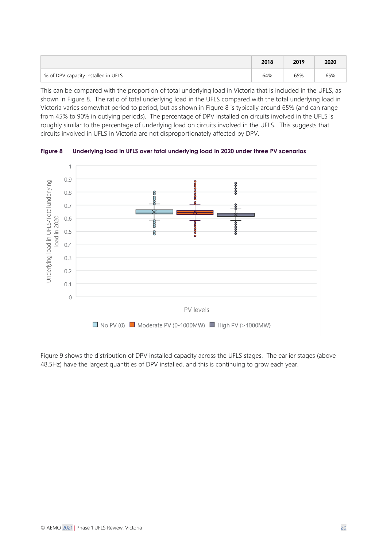|                                     | 2018 | 2019 | 2020 |
|-------------------------------------|------|------|------|
| % of DPV capacity installed in UFLS | 64%  | 65%  | 65%  |

This can be compared with the proportion of total underlying load in Victoria that is included in the UFLS, as shown in [Figure 8.](#page-19-0) The ratio of total underlying load in the UFLS compared with the total underlying load in Victoria varies somewhat period to period, but as shown in [Figure 8](#page-19-0) is typically around 65% (and can range from 45% to 90% in outlying periods). The percentage of DPV installed on circuits involved in the UFLS is roughly similar to the percentage of underlying load on circuits involved in the UFLS. This suggests that circuits involved in UFLS in Victoria are not disproportionately affected by DPV.



<span id="page-19-0"></span>**Figure 8 Underlying load in UFLS over total underlying load in 2020 under three PV scenarios**

[Figure 9](#page-20-1) shows the distribution of DPV installed capacity across the UFLS stages. The earlier stages (above 48.5Hz) have the largest quantities of DPV installed, and this is continuing to grow each year.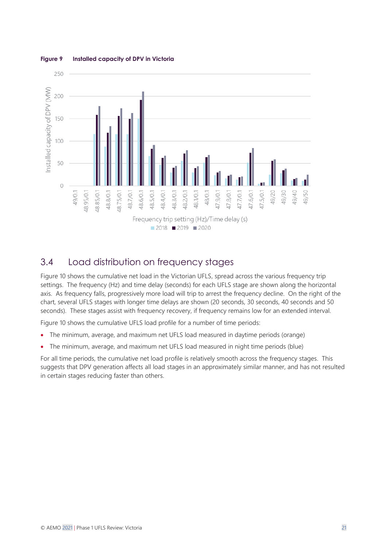

#### <span id="page-20-1"></span>**Figure 9 Installed capacity of DPV in Victoria**

### <span id="page-20-0"></span>3.4 Load distribution on frequency stages

[Figure 10](#page-21-0) shows the cumulative net load in the Victorian UFLS, spread across the various frequency trip settings. The frequency (Hz) and time delay (seconds) for each UFLS stage are shown along the horizontal axis. As frequency falls, progressively more load will trip to arrest the frequency decline. On the right of the chart, several UFLS stages with longer time delays are shown (20 seconds, 30 seconds, 40 seconds and 50 seconds). These stages assist with frequency recovery, if frequency remains low for an extended interval.

[Figure 10](#page-21-0) shows the cumulative UFLS load profile for a number of time periods:

- The minimum, average, and maximum net UFLS load measured in daytime periods (orange)
- The minimum, average, and maximum net UFLS load measured in night time periods (blue)

For all time periods, the cumulative net load profile is relatively smooth across the frequency stages. This suggests that DPV generation affects all load stages in an approximately similar manner, and has not resulted in certain stages reducing faster than others.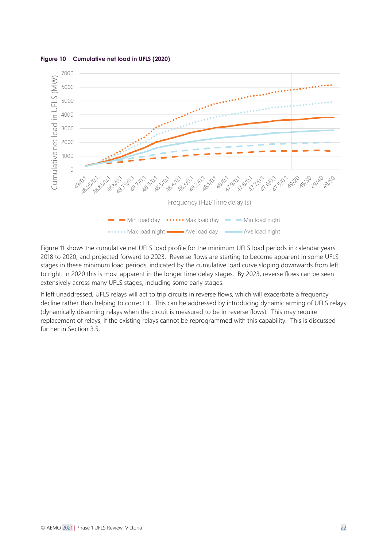

<span id="page-21-0"></span>**Figure 10 Cumulative net load in UFLS (2020)**

[Figure 11](#page-22-1) shows the cumulative net UFLS load profile for the minimum UFLS load periods in calendar years 2018 to 2020, and projected forward to 2023. Reverse flows are starting to become apparent in some UFLS stages in these minimum load periods, indicated by the cumulative load curve sloping downwards from left to right. In 2020 this is most apparent in the longer time delay stages. By 2023, reverse flows can be seen extensively across many UFLS stages, including some early stages.

If left unaddressed, UFLS relays will act to trip circuits in reverse flows, which will exacerbate a frequency decline rather than helping to correct it. This can be addressed by introducing dynamic arming of UFLS relays (dynamically disarming relays when the circuit is measured to be in reverse flows). This may require replacement of relays, if the existing relays cannot be reprogrammed with this capability. This is discussed further in Section [3.5.](#page-22-0)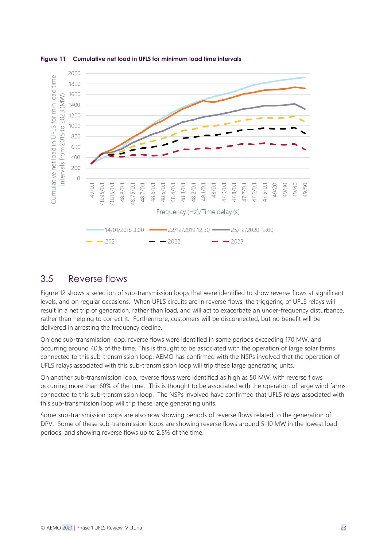

#### <span id="page-22-1"></span>**Figure 11 Cumulative net load in UFLS for minimum load time intervals**

### <span id="page-22-0"></span>3.5 Reverse flows

[Figure 12](#page-23-0) shows a selection of sub-transmission loops that were identified to show reverse flows at significant levels, and on regular occasions. When UFLS circuits are in reverse flows, the triggering of UFLS relays will result in a net trip of generation, rather than load, and will act to exacerbate an under-frequency disturbance, rather than helping to correct it. Furthermore, customers will be disconnected, but no benefit will be delivered in arresting the frequency decline.

On one sub-transmission loop, reverse flows were identified in some periods exceeding 170 MW, and occurring around 40% of the time. This is thought to be associated with the operation of large solar farms connected to this sub-transmission loop. AEMO has confirmed with the NSPs involved that the operation of UFLS relays associated with this sub-transmission loop will trip these large generating units.

On another sub-transmission loop, reverse flows were identified as high as 50 MW, with reverse flows occurring more than 60% of the time. This is thought to be associated with the operation of large wind farms connected to this sub-transmission loop. The NSPs involved have confirmed that UFLS relays associated with this sub-transmission loop will trip these large generating units.

Some sub-transmission loops are also now showing periods of reverse flows related to the generation of DPV. Some of these sub-transmission loops are showing reverse flows around 5-10 MW in the lowest load periods, and showing reverse flows up to 2.5% of the time.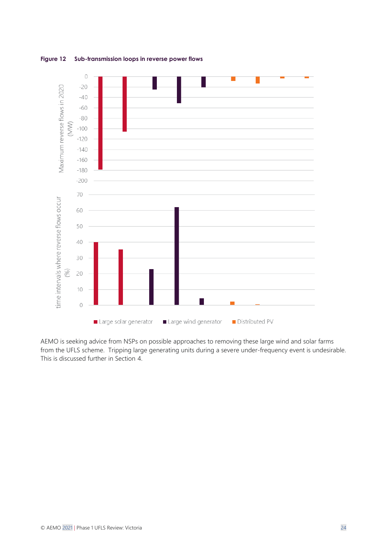<span id="page-23-0"></span>



AEMO is seeking advice from NSPs on possible approaches to removing these large wind and solar farms from the UFLS scheme. Tripping large generating units during a severe under-frequency event is undesirable. This is discussed further in Section [4.](#page-24-0)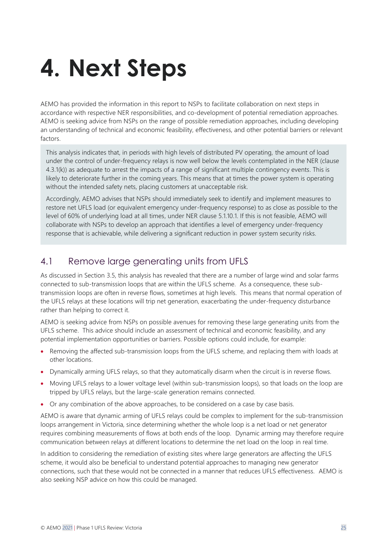# <span id="page-24-0"></span>**4. Next Steps**

AEMO has provided the information in this report to NSPs to facilitate collaboration on next steps in accordance with respective NER responsibilities, and co-development of potential remediation approaches. AEMO is seeking advice from NSPs on the range of possible remediation approaches, including developing an understanding of technical and economic feasibility, effectiveness, and other potential barriers or relevant factors.

This analysis indicates that, in periods with high levels of distributed PV operating, the amount of load under the control of under-frequency relays is now well below the levels contemplated in the NER (clause 4.3.1(k)) as adequate to arrest the impacts of a range of significant multiple contingency events. This is likely to deteriorate further in the coming years. This means that at times the power system is operating without the intended safety nets, placing customers at unacceptable risk.

Accordingly, AEMO advises that NSPs should immediately seek to identify and implement measures to restore net UFLS load (or equivalent emergency under-frequency response) to as close as possible to the level of 60% of underlying load at all times, under NER clause 5.1.10.1. If this is not feasible, AEMO will collaborate with NSPs to develop an approach that identifies a level of emergency under-frequency response that is achievable, while delivering a significant reduction in power system security risks.

### <span id="page-24-1"></span>4.1 Remove large generating units from UFLS

As discussed in Section [3.5,](#page-22-0) this analysis has revealed that there are a number of large wind and solar farms connected to sub-transmission loops that are within the UFLS scheme. As a consequence, these subtransmission loops are often in reverse flows, sometimes at high levels. This means that normal operation of the UFLS relays at these locations will trip net generation, exacerbating the under-frequency disturbance rather than helping to correct it.

AEMO is seeking advice from NSPs on possible avenues for removing these large generating units from the UFLS scheme. This advice should include an assessment of technical and economic feasibility, and any potential implementation opportunities or barriers. Possible options could include, for example:

- Removing the affected sub-transmission loops from the UFLS scheme, and replacing them with loads at other locations.
- Dynamically arming UFLS relays, so that they automatically disarm when the circuit is in reverse flows.
- Moving UFLS relays to a lower voltage level (within sub-transmission loops), so that loads on the loop are tripped by UFLS relays, but the large-scale generation remains connected.
- Or any combination of the above approaches, to be considered on a case by case basis.

AEMO is aware that dynamic arming of UFLS relays could be complex to implement for the sub-transmission loops arrangement in Victoria, since determining whether the whole loop is a net load or net generator requires combining measurements of flows at both ends of the loop. Dynamic arming may therefore require communication between relays at different locations to determine the net load on the loop in real time.

In addition to considering the remediation of existing sites where large generators are affecting the UFLS scheme, it would also be beneficial to understand potential approaches to managing new generator connections, such that these would not be connected in a manner that reduces UFLS effectiveness. AEMO is also seeking NSP advice on how this could be managed.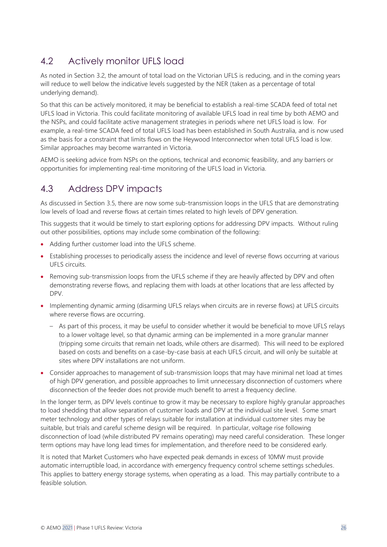## <span id="page-25-0"></span>4.2 Actively monitor UFLS load

As noted in Section [3.2,](#page-16-0) the amount of total load on the Victorian UFLS is reducing, and in the coming years will reduce to well below the indicative levels suggested by the NER (taken as a percentage of total underlying demand).

So that this can be actively monitored, it may be beneficial to establish a real-time SCADA feed of total net UFLS load in Victoria. This could facilitate monitoring of available UFLS load in real time by both AEMO and the NSPs, and could facilitate active management strategies in periods where net UFLS load is low. For example, a real-time SCADA feed of total UFLS load has been established in South Australia, and is now used as the basis for a constraint that limits flows on the Heywood Interconnector when total UFLS load is low. Similar approaches may become warranted in Victoria.

AEMO is seeking advice from NSPs on the options, technical and economic feasibility, and any barriers or opportunities for implementing real-time monitoring of the UFLS load in Victoria.

### <span id="page-25-1"></span>4.3 Address DPV impacts

As discussed in Section [3.5,](#page-22-0) there are now some sub-transmission loops in the UFLS that are demonstrating low levels of load and reverse flows at certain times related to high levels of DPV generation.

This suggests that it would be timely to start exploring options for addressing DPV impacts. Without ruling out other possibilities, options may include some combination of the following:

- Adding further customer load into the UFLS scheme.
- Establishing processes to periodically assess the incidence and level of reverse flows occurring at various UFLS circuits.
- Removing sub-transmission loops from the UFLS scheme if they are heavily affected by DPV and often demonstrating reverse flows, and replacing them with loads at other locations that are less affected by DPV.
- Implementing dynamic arming (disarming UFLS relays when circuits are in reverse flows) at UFLS circuits where reverse flows are occurring.
	- As part of this process, it may be useful to consider whether it would be beneficial to move UFLS relays to a lower voltage level, so that dynamic arming can be implemented in a more granular manner (tripping some circuits that remain net loads, while others are disarmed). This will need to be explored based on costs and benefits on a case-by-case basis at each UFLS circuit, and will only be suitable at sites where DPV installations are not uniform.
- Consider approaches to management of sub-transmission loops that may have minimal net load at times of high DPV generation, and possible approaches to limit unnecessary disconnection of customers where disconnection of the feeder does not provide much benefit to arrest a frequency decline.

In the longer term, as DPV levels continue to grow it may be necessary to explore highly granular approaches to load shedding that allow separation of customer loads and DPV at the individual site level. Some smart meter technology and other types of relays suitable for installation at individual customer sites may be suitable, but trials and careful scheme design will be required. In particular, voltage rise following disconnection of load (while distributed PV remains operating) may need careful consideration. These longer term options may have long lead times for implementation, and therefore need to be considered early.

It is noted that Market Customers who have expected peak demands in excess of 10MW must provide automatic interruptible load, in accordance with emergency frequency control scheme settings schedules. This applies to battery energy storage systems, when operating as a load. This may partially contribute to a feasible solution.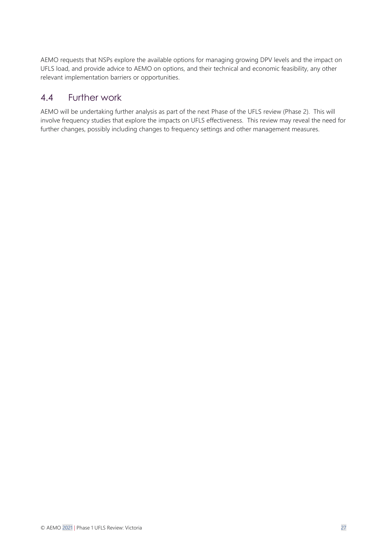AEMO requests that NSPs explore the available options for managing growing DPV levels and the impact on UFLS load, and provide advice to AEMO on options, and their technical and economic feasibility, any other relevant implementation barriers or opportunities.

### <span id="page-26-0"></span>4.4 Further work

AEMO will be undertaking further analysis as part of the next Phase of the UFLS review (Phase 2). This will involve frequency studies that explore the impacts on UFLS effectiveness. This review may reveal the need for further changes, possibly including changes to frequency settings and other management measures.